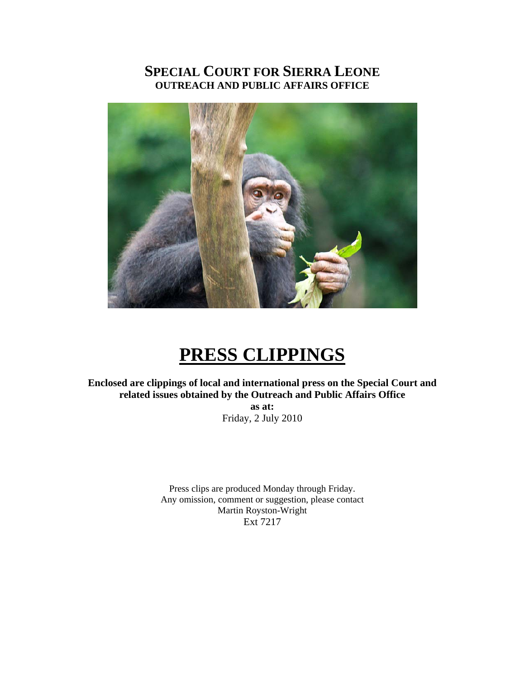## **SPECIAL COURT FOR SIERRA LEONE OUTREACH AND PUBLIC AFFAIRS OFFICE**



## **PRESS CLIPPINGS**

**Enclosed are clippings of local and international press on the Special Court and related issues obtained by the Outreach and Public Affairs Office** 

**as at:**  Friday, 2 July 2010

Press clips are produced Monday through Friday. Any omission, comment or suggestion, please contact Martin Royston-Wright Ext 7217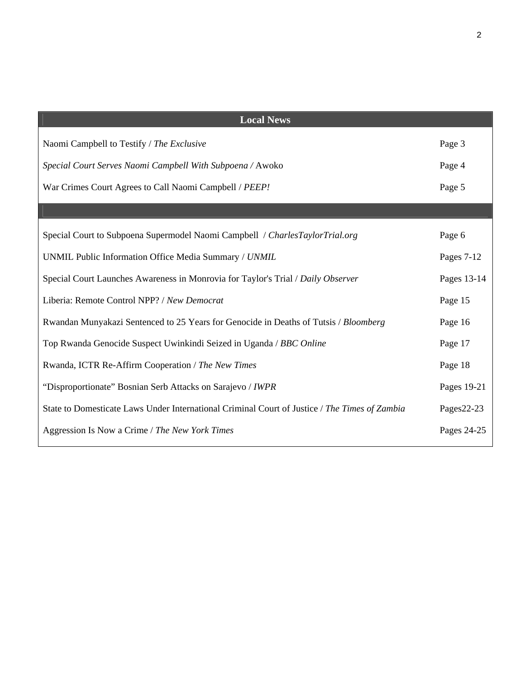| <b>Local News</b>                                                                             |             |
|-----------------------------------------------------------------------------------------------|-------------|
| Naomi Campbell to Testify / The Exclusive                                                     | Page 3      |
| Special Court Serves Naomi Campbell With Subpoena / Awoko                                     | Page 4      |
| War Crimes Court Agrees to Call Naomi Campbell / PEEP!                                        | Page 5      |
|                                                                                               |             |
| Special Court to Subpoena Supermodel Naomi Campbell / CharlesTaylorTrial.org                  | Page 6      |
| UNMIL Public Information Office Media Summary / UNMIL                                         | Pages 7-12  |
| Special Court Launches Awareness in Monrovia for Taylor's Trial / Daily Observer              | Pages 13-14 |
| Liberia: Remote Control NPP? / New Democrat                                                   | Page 15     |
| Rwandan Munyakazi Sentenced to 25 Years for Genocide in Deaths of Tutsis / Bloomberg          | Page 16     |
| Top Rwanda Genocide Suspect Uwinkindi Seized in Uganda / BBC Online                           | Page 17     |
| Rwanda, ICTR Re-Affirm Cooperation / The New Times                                            | Page 18     |
| "Disproportionate" Bosnian Serb Attacks on Sarajevo / IWPR                                    | Pages 19-21 |
| State to Domesticate Laws Under International Criminal Court of Justice / The Times of Zambia | Pages22-23  |
| Aggression Is Now a Crime / The New York Times                                                | Pages 24-25 |

L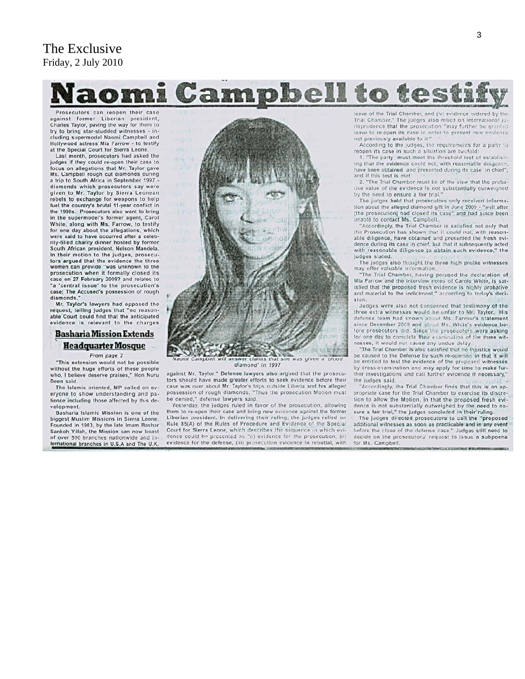## The Exclusive Friday, 2 July 2010

# Naomi Campbell to testi

Prosecutors can reopen their case against former Liberian president,<br>Charles Taylor, paving the way for them to try to bring star-studded witnesses - including supermodel Naomi Campbell and<br>Hollywood actress Mia Farrow - to testify at the Special Court for Sierra Leone

Last month, prosecutors had asked the judges if they could re-open their case to focus on allegations that Mr. Taylor gave Ms. Campbell rough cut diamonds during a trip to South Africa in September 1997 diamonds which prosecutors say were given to Mr. Taylor by Sierra Leonean rebels to exchange for weapons to help fuel the country's brutal 11-year conflict in the 1990s. Prosecutors also want to bring in the supermodel's former agent, Carol White, along with Ms. Farrow, to testify for one day about the allegations, which were said to have occurred after a celebrity-filled charity dinner hosted by former South African president, Nelson Mandela. In their motion to the judges, prosecu-<br>tors argued that the evidence the three women can provide "was unknown to the prosecution when it formally closed its case on 27 February 2009? and relates to "a 'central issue' to the prosecution's case: The Accused's possession of rough diamonds.'

Mr. Taylor's lawyers had opposed the request, telling judges that "no reasonable Court could find that the anticipated evidence is relevant to the charges

**Basharia Mission Extends Headquarter Mosque** 

From page 2

"This extension would not be possible without the huge efforts of these people who, I believe deserve praises," Hon Nuru Deen said.

The Islamic oriented, MP called on everyone to show understanding and patience including those affected by this development.

Basharia Islamic Mission is one of the biggest Muslim Missions in Sierra Leone. Founded in 1983, by the late Imam Bashar Sankoh Yillah, the Mission can now boast of over 500 branches nationwide and international branches in U.S.A and The U.K.



answer claims that she was given a 'blood diamond' in 1997

against Mr. Taylor." Defense lawyers also argued that the prosecutors should have made greater efforts to seek evidence before their case was over about Mr. Taylor's trips outside Liberia and his alleged possession of rough diamonds. "Thus the prosecution Motion must be denied," defense lawyers said.

Yesterday, the judges ruled in favor of the prosecution, allowing them to re-open their case and bring new evidence against the former Liberian president. In delivering their ruling, the judges relied on Rule 85(A) of the Rules of Procedure and Evidence of the Special Court for Sierra Leone, which describes the sequence in which evidence could be prosented as "(i) evidence for the prosecution, (ii) evidence for the defense, (iii) prosecution evidence in rebuttal, with

leave of the Trial Chamber, and (iv) evidence ordered by the Trial Chamber." The judges also relied on international jurisprudence that the prosecution "may further be granted leave to re-open its case in order to present new evidence not previously available to it."

According to the judges, the requirements for a party to reopen its case in such a situation are twofold:

1. "The party must meet the threshold test of establishing that the evidence could not, with reasonable diligence, have been obtained and presented during its case in chief"; and if this test is met:

2. "The Trial Chamber must be of the view that the probative value of the evidence is not substantially outweighed by the need to ensure a fair trial."

The judges held that prosecutors only received information about the alleged diamond gift in June 2009 - "well after [the prosecution] had closed its case" and had since been unable to contact Ms. Campbell.

"Accordingly, the Trial Chamber is satisfied not only that the Prosecution has shown that it could not, with reasonable diligence, have obtained and presented the fresh evidence during its case in chief, but that it subsequently acted with reasonable diligence to obtain such evidence," the judges stated.

The judges also thought the three high profile witnesses may offer valuable information.

"The Trial Chamber, having perused the declaration of Mia Farrow and the interview notes of Carole White, is satisfied that the proposed fresh evidence is highly probative and material to the indictment." according to today's decision.

Judges were also not concerned that testimony of the three extra witnesses would be unfair to Mr. Taylor. His defense team had known about Ms. Farrow's statement since December 2009 and about Ms. White's evidence before prosecutors did. Since the prosecutors were asking<br>for one day to complete their examination of the three witnesses, it would not cause any undue delay.

"The Trial Chamber is also satisfied that no injustice would be caused to the Defense by such re-opening in that it will be entitled to test the evidence of the proposed witnesses by cross-examination and may apply for time to make further investigations and call further evidence if necessary," the judges said.

"Accordingly, the Trial Chamber finds that this is an appropriate case for the Trial Chamber to exercise its discretion to allow the Motion, in that the proposed fresh evidence is not substantially outweighed by the need to ensure a fair trial," the judges concluded in their ruling.

The judges directed prosecutors to call the "proposed additional witnesses as soon as practicable and in any event before the close of the defense case." Judges still need to decide on the prosecutors' request to issue a subpoena for Ms. Campbell.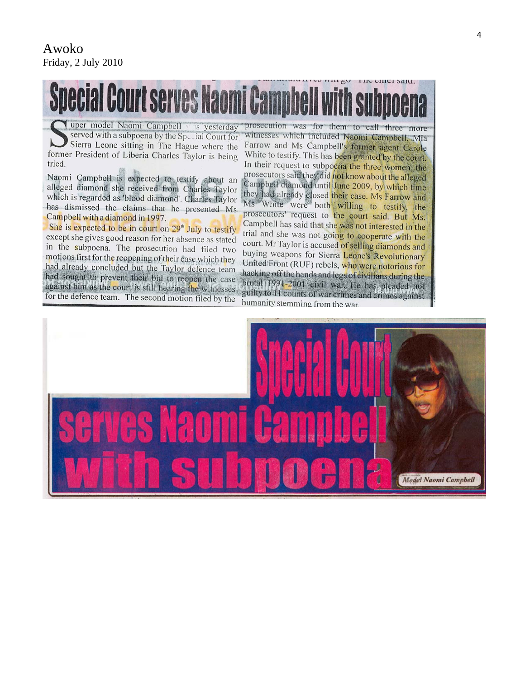## THE CHIEF SAIL. **Special Court serves Naomi Campbel**

Super model Naomi Campbell v is yesterday served with a subpoena by the Special Court for Sierra Leone sitting in The Hague where the former President of Liberia Charles Taylor is being tried.

Naomi Campbell is expected to testify about an alleged diamond she received from Charles Taylor which is regarded as 'blood diamond'. Charles Taylor has dismissed the claims that he presented Ms Campbell with a diamond in 1997.

She is expected to be in court on  $29<sup>th</sup>$  July to testify except she gives good reason for her absence as stated in the subpoena. The prosecution had filed two motions first for the reopening of their case which they had already concluded but the Taylor defence team had sought to prevent their bid to reopen the case against him as the court is still hearing the witnesses for the defence team. The second motion filed by the

prosecution was for them to call three witnesses which included Naomi Campbell, Mia Farrow and Ms Campbell's former agent Carole White to testify. This has been granted by the court. In their request to subpoetia the three women, the prosecutors said they did not know about the alleged Campbell diamond until June 2009, by which time they had already closed their case. Ms Farrow and Ms White were both willing to testify, the prosecutors' request to the court said. But Ms. Campbell has said that she was not interested in the trial and she was not going to cooperate with the court. Mr Taylor is accused of selling diamonds and buying weapons for Sierra Leone's Revolutionary United Front (RUF) rebels, who were notorious for hacking off the hands and legs of civilians during the brutal 1991-2001 civil war. He has pleaded not guilty to 11 counts of war crimes and crimes against humanity stemming from the war.

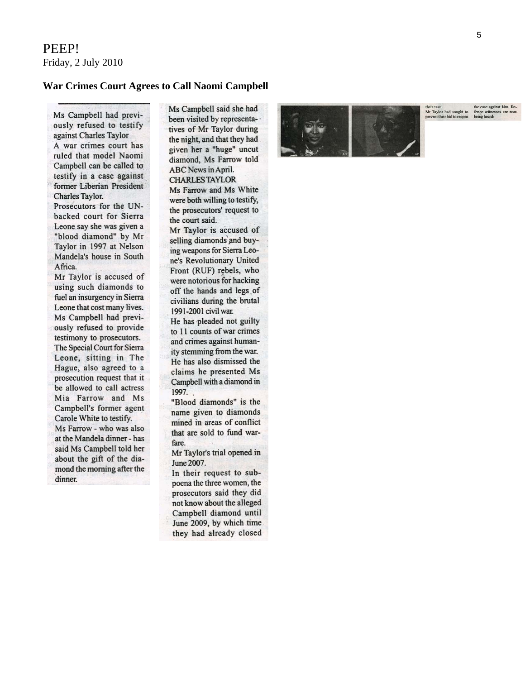## PEEP! Friday, 2 July 2010

#### **War Crimes Court Agrees to Call Naomi Campbell**

Ms Campbell had previously refused to testify against Charles Taylor A war crimes court has ruled that model Naomi Campbell can be called to testify in a case against former Liberian President Charles Taylor.

Prosecutors for the UNbacked court for Sierra Leone say she was given a "blood diamond" by Mr Taylor in 1997 at Nelson Mandela's house in South Africa.

Mr Taylor is accused of using such diamonds to fuel an insurgency in Sierra Leone that cost many lives. Ms Campbell had previously refused to provide testimony to prosecutors. The Special Court for Sierra Leone, sitting in The Hague, also agreed to a prosecution request that it be allowed to call actress Mia Farrow and Ms Campbell's former agent Carole White to testify. Ms Farrow - who was also at the Mandela dinner - has said Ms Campbell told her about the gift of the diamond the morning after the dinner.

Ms Campbell said she had been visited by representatives of Mr Taylor during the night, and that they had given her a "huge" uncut diamond, Ms Farrow told ABC News in April. **CHARLESTAYLOR** 

Ms Farrow and Ms White were both willing to testify, the prosecutors' request to the court said.

Mr Taylor is accused of selling diamonds and buying weapons for Sierra Leone's Revolutionary United Front (RUF) rebels, who were notorious for hacking off the hands and legs of civilians during the brutal 1991-2001 civil war.

He has pleaded not guilty to 11 counts of war crimes and crimes against humanity stemming from the war. He has also dismissed the claims he presented Ms Campbell with a diamond in 1997.

"Blood diamonds" is the name given to diamonds mined in areas of conflict that are sold to fund warfare.

Mr Taylor's trial opened in June 2007.

In their request to subpoena the three women, the prosecutors said they did not know about the alleged Campbell diamond until June 2009, by which time they had already closed



their case.<br>Mr Taylor had sought to prevent their bid to reopen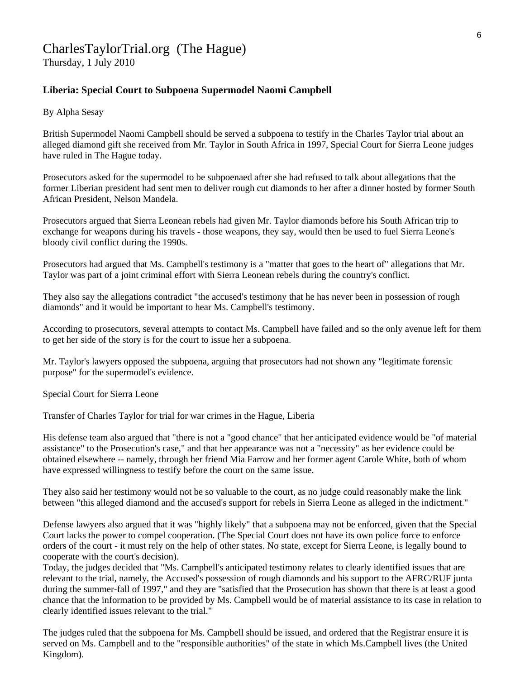## CharlesTaylorTrial.org (The Hague)

Thursday, 1 July 2010

#### **Liberia: Special Court to Subpoena Supermodel Naomi Campbell**

By Alpha Sesay

British Supermodel Naomi Campbell should be served a subpoena to testify in the Charles Taylor trial about an alleged diamond gift she received from Mr. Taylor in South Africa in 1997, Special Court for Sierra Leone judges have ruled in The Hague today.

Prosecutors asked for the supermodel to be subpoenaed after she had refused to talk about allegations that the former Liberian president had sent men to deliver rough cut diamonds to her after a dinner hosted by former South African President, Nelson Mandela.

Prosecutors argued that Sierra Leonean rebels had given Mr. Taylor diamonds before his South African trip to exchange for weapons during his travels - those weapons, they say, would then be used to fuel Sierra Leone's bloody civil conflict during the 1990s.

Prosecutors had argued that Ms. Campbell's testimony is a "matter that goes to the heart of" allegations that Mr. Taylor was part of a joint criminal effort with Sierra Leonean rebels during the country's conflict.

They also say the allegations contradict "the accused's testimony that he has never been in possession of rough diamonds" and it would be important to hear Ms. Campbell's testimony.

According to prosecutors, several attempts to contact Ms. Campbell have failed and so the only avenue left for them to get her side of the story is for the court to issue her a subpoena.

Mr. Taylor's lawyers opposed the subpoena, arguing that prosecutors had not shown any "legitimate forensic purpose" for the supermodel's evidence.

Special Court for Sierra Leone

Transfer of Charles Taylor for trial for war crimes in the Hague, Liberia

His defense team also argued that "there is not a "good chance" that her anticipated evidence would be "of material assistance" to the Prosecution's case," and that her appearance was not a "necessity" as her evidence could be obtained elsewhere -- namely, through her friend Mia Farrow and her former agent Carole White, both of whom have expressed willingness to testify before the court on the same issue.

They also said her testimony would not be so valuable to the court, as no judge could reasonably make the link between "this alleged diamond and the accused's support for rebels in Sierra Leone as alleged in the indictment."

Defense lawyers also argued that it was "highly likely" that a subpoena may not be enforced, given that the Special Court lacks the power to compel cooperation. (The Special Court does not have its own police force to enforce orders of the court - it must rely on the help of other states. No state, except for Sierra Leone, is legally bound to cooperate with the court's decision).

Today, the judges decided that "Ms. Campbell's anticipated testimony relates to clearly identified issues that are relevant to the trial, namely, the Accused's possession of rough diamonds and his support to the AFRC/RUF junta during the summer-fall of 1997," and they are "satisfied that the Prosecution has shown that there is at least a good chance that the information to be provided by Ms. Campbell would be of material assistance to its case in relation to clearly identified issues relevant to the trial."

The judges ruled that the subpoena for Ms. Campbell should be issued, and ordered that the Registrar ensure it is served on Ms. Campbell and to the "responsible authorities" of the state in which Ms.Campbell lives (the United Kingdom).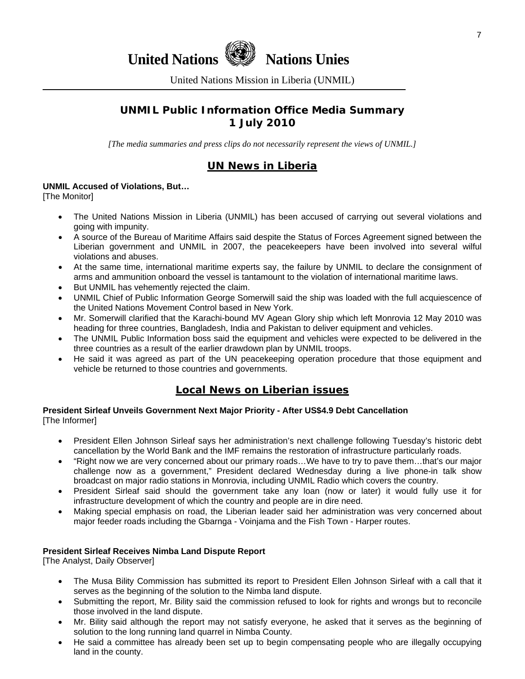

United Nations Mission in Liberia (UNMIL)

## **UNMIL Public Information Office Media Summary 1 July 2010**

*[The media summaries and press clips do not necessarily represent the views of UNMIL.]* 

## **UN News in Liberia**

#### **UNMIL Accused of Violations, But…**

[The Monitor]

- The United Nations Mission in Liberia (UNMIL) has been accused of carrying out several violations and going with impunity.
- A source of the Bureau of Maritime Affairs said despite the Status of Forces Agreement signed between the Liberian government and UNMIL in 2007, the peacekeepers have been involved into several wilful violations and abuses.
- At the same time, international maritime experts say, the failure by UNMIL to declare the consignment of arms and ammunition onboard the vessel is tantamount to the violation of international maritime laws.
- But UNMIL has vehemently rejected the claim.
- UNMIL Chief of Public Information George Somerwill said the ship was loaded with the full acquiescence of the United Nations Movement Control based in New York.
- Mr. Somerwill clarified that the Karachi-bound MV Agean Glory ship which left Monrovia 12 May 2010 was heading for three countries, Bangladesh, India and Pakistan to deliver equipment and vehicles.
- The UNMIL Public Information boss said the equipment and vehicles were expected to be delivered in the three countries as a result of the earlier drawdown plan by UNMIL troops.
- He said it was agreed as part of the UN peacekeeping operation procedure that those equipment and vehicle be returned to those countries and governments.

#### **Local News on Liberian issues**

#### **President Sirleaf Unveils Government Next Major Priority - After US\$4.9 Debt Cancellation**  [The Informer]

- President Ellen Johnson Sirleaf says her administration's next challenge following Tuesday's historic debt cancellation by the World Bank and the IMF remains the restoration of infrastructure particularly roads.
- "Right now we are very concerned about our primary roads…We have to try to pave them…that's our major challenge now as a government," President declared Wednesday during a live phone-in talk show broadcast on major radio stations in Monrovia, including UNMIL Radio which covers the country.
- President Sirleaf said should the government take any loan (now or later) it would fully use it for infrastructure development of which the country and people are in dire need.
- Making special emphasis on road, the Liberian leader said her administration was very concerned about major feeder roads including the Gbarnga - Voinjama and the Fish Town - Harper routes.

#### **President Sirleaf Receives Nimba Land Dispute Report**

[The Analyst, Daily Observer]

- The Musa Bility Commission has submitted its report to President Ellen Johnson Sirleaf with a call that it serves as the beginning of the solution to the Nimba land dispute.
- Submitting the report, Mr. Bility said the commission refused to look for rights and wrongs but to reconcile those involved in the land dispute.
- Mr. Bility said although the report may not satisfy everyone, he asked that it serves as the beginning of solution to the long running land quarrel in Nimba County.
- He said a committee has already been set up to begin compensating people who are illegally occupying land in the county.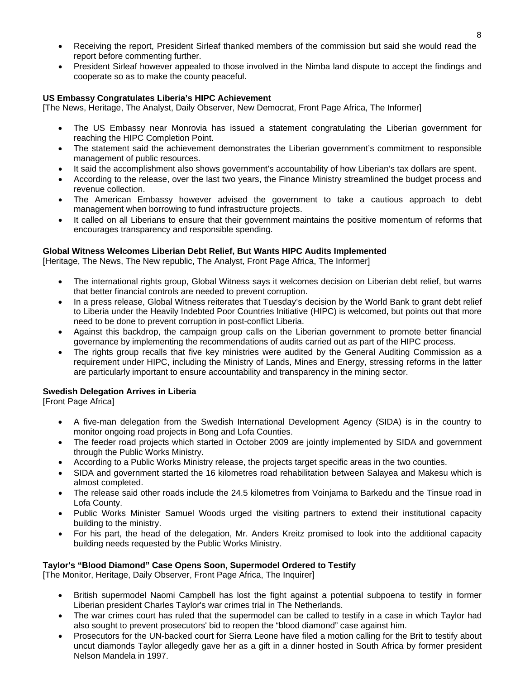- Receiving the report, President Sirleaf thanked members of the commission but said she would read the report before commenting further.
- President Sirleaf however appealed to those involved in the Nimba land dispute to accept the findings and cooperate so as to make the county peaceful.

#### **US Embassy Congratulates Liberia's HIPC Achievement**

[The News, Heritage, The Analyst, Daily Observer, New Democrat, Front Page Africa, The Informer]

- The US Embassy near Monrovia has issued a statement congratulating the Liberian government for reaching the HIPC Completion Point.
- The statement said the achievement demonstrates the Liberian government's commitment to responsible management of public resources.
- It said the accomplishment also shows government's accountability of how Liberian's tax dollars are spent.
- According to the release, over the last two years, the Finance Ministry streamlined the budget process and revenue collection.
- The American Embassy however advised the government to take a cautious approach to debt management when borrowing to fund infrastructure projects.
- It called on all Liberians to ensure that their government maintains the positive momentum of reforms that encourages transparency and responsible spending.

#### **Global Witness Welcomes Liberian Debt Relief, But Wants HIPC Audits Implemented**

[Heritage, The News, The New republic, The Analyst, Front Page Africa, The Informer]

- The international rights group, Global Witness says it welcomes decision on Liberian debt relief, but warns that better financial controls are needed to prevent corruption.
- In a press release, Global Witness reiterates that Tuesday's decision by the World Bank to grant debt relief to Liberia under the Heavily Indebted Poor Countries Initiative (HIPC) is welcomed, but points out that more need to be done to prevent corruption in post-conflict Liberia.
- Against this backdrop, the campaign group calls on the Liberian government to promote better financial governance by implementing the recommendations of audits carried out as part of the HIPC process.
- The rights group recalls that five key ministries were audited by the General Auditing Commission as a requirement under HIPC, including the Ministry of Lands, Mines and Energy, stressing reforms in the latter are particularly important to ensure accountability and transparency in the mining sector.

#### **Swedish Delegation Arrives in Liberia**

[Front Page Africa]

- A five-man delegation from the Swedish International Development Agency (SIDA) is in the country to monitor ongoing road projects in Bong and Lofa Counties.
- The feeder road projects which started in October 2009 are jointly implemented by SIDA and government through the Public Works Ministry.
- According to a Public Works Ministry release, the projects target specific areas in the two counties.
- SIDA and government started the 16 kilometres road rehabilitation between Salayea and Makesu which is almost completed.
- The release said other roads include the 24.5 kilometres from Voinjama to Barkedu and the Tinsue road in Lofa County.
- Public Works Minister Samuel Woods urged the visiting partners to extend their institutional capacity building to the ministry.
- For his part, the head of the delegation, Mr. Anders Kreitz promised to look into the additional capacity building needs requested by the Public Works Ministry.

#### **Taylor's "Blood Diamond" Case Opens Soon, Supermodel Ordered to Testify**

[The Monitor, Heritage, Daily Observer, Front Page Africa, The Inquirer]

- British supermodel Naomi Campbell has lost the fight against a potential subpoena to testify in former Liberian president Charles Taylor's war crimes trial in The Netherlands.
- The war crimes court has ruled that the supermodel can be called to testify in a case in which Taylor had also sought to prevent prosecutors' bid to reopen the "blood diamond" case against him.
- Prosecutors for the UN-backed court for Sierra Leone have filed a motion calling for the Brit to testify about uncut diamonds Taylor allegedly gave her as a gift in a dinner hosted in South Africa by former president Nelson Mandela in 1997.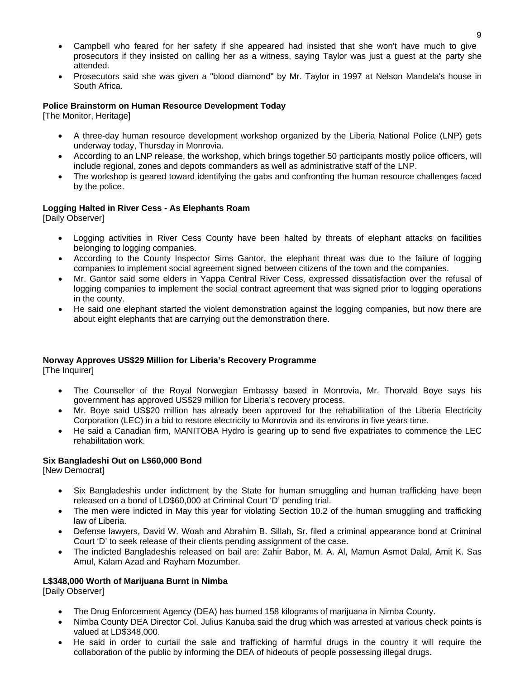- Campbell who feared for her safety if she appeared had insisted that she won't have much to give prosecutors if they insisted on calling her as a witness, saying Taylor was just a guest at the party she attended.
- Prosecutors said she was given a "blood diamond" by Mr. Taylor in 1997 at Nelson Mandela's house in South Africa.

#### **Police Brainstorm on Human Resource Development Today**

[The Monitor, Heritage]

- A three-day human resource development workshop organized by the Liberia National Police (LNP) gets underway today, Thursday in Monrovia.
- According to an LNP release, the workshop, which brings together 50 participants mostly police officers, will include regional, zones and depots commanders as well as administrative staff of the LNP.
- The workshop is geared toward identifying the gabs and confronting the human resource challenges faced by the police.

#### **Logging Halted in River Cess - As Elephants Roam**

[Daily Observer]

- Logging activities in River Cess County have been halted by threats of elephant attacks on facilities belonging to logging companies.
- According to the County Inspector Sims Gantor, the elephant threat was due to the failure of logging companies to implement social agreement signed between citizens of the town and the companies.
- Mr. Gantor said some elders in Yappa Central River Cess, expressed dissatisfaction over the refusal of logging companies to implement the social contract agreement that was signed prior to logging operations in the county.
- He said one elephant started the violent demonstration against the logging companies, but now there are about eight elephants that are carrying out the demonstration there.

#### **Norway Approves US\$29 Million for Liberia's Recovery Programme**

[The Inquirer]

- The Counsellor of the Royal Norwegian Embassy based in Monrovia, Mr. Thorvald Boye says his government has approved US\$29 million for Liberia's recovery process.
- Mr. Boye said US\$20 million has already been approved for the rehabilitation of the Liberia Electricity Corporation (LEC) in a bid to restore electricity to Monrovia and its environs in five years time.
- He said a Canadian firm, MANITOBA Hydro is gearing up to send five expatriates to commence the LEC rehabilitation work.

#### **Six Bangladeshi Out on L\$60,000 Bond**

[New Democrat]

- Six Bangladeshis under indictment by the State for human smuggling and human trafficking have been released on a bond of LD\$60,000 at Criminal Court 'D' pending trial.
- The men were indicted in May this year for violating Section 10.2 of the human smuggling and trafficking law of Liberia.
- Defense lawyers, David W. Woah and Abrahim B. Sillah, Sr. filed a criminal appearance bond at Criminal Court 'D' to seek release of their clients pending assignment of the case.
- The indicted Bangladeshis released on bail are: Zahir Babor, M. A. Al, Mamun Asmot Dalal, Amit K. Sas Amul, Kalam Azad and Rayham Mozumber.

#### **L\$348,000 Worth of Marijuana Burnt in Nimba**

[Daily Observer]

- The Drug Enforcement Agency (DEA) has burned 158 kilograms of marijuana in Nimba County.
- Nimba County DEA Director Col. Julius Kanuba said the drug which was arrested at various check points is valued at LD\$348,000.
- He said in order to curtail the sale and trafficking of harmful drugs in the country it will require the collaboration of the public by informing the DEA of hideouts of people possessing illegal drugs.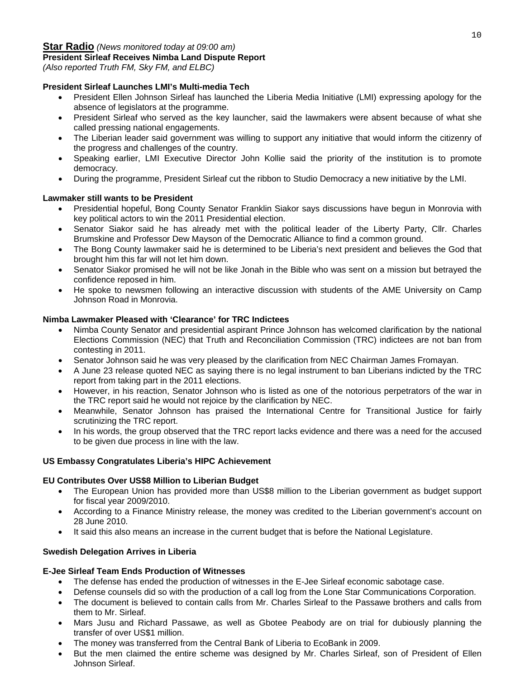## **Star Radio** *(News monitored today at 09:00 am)*

#### **President Sirleaf Receives Nimba Land Dispute Report**

*(Also reported Truth FM, Sky FM, and ELBC)* 

#### **President Sirleaf Launches LMI's Multi-media Tech**

- President Ellen Johnson Sirleaf has launched the Liberia Media Initiative (LMI) expressing apology for the absence of legislators at the programme.
- President Sirleaf who served as the key launcher, said the lawmakers were absent because of what she called pressing national engagements.
- The Liberian leader said government was willing to support any initiative that would inform the citizenry of the progress and challenges of the country.
- Speaking earlier, LMI Executive Director John Kollie said the priority of the institution is to promote democracy.
- During the programme, President Sirleaf cut the ribbon to Studio Democracy a new initiative by the LMI.

#### **Lawmaker still wants to be President**

- Presidential hopeful, Bong County Senator Franklin Siakor says discussions have begun in Monrovia with key political actors to win the 2011 Presidential election.
- Senator Siakor said he has already met with the political leader of the Liberty Party, Cllr. Charles Brumskine and Professor Dew Mayson of the Democratic Alliance to find a common ground.
- The Bong County lawmaker said he is determined to be Liberia's next president and believes the God that brought him this far will not let him down.
- Senator Siakor promised he will not be like Jonah in the Bible who was sent on a mission but betrayed the confidence reposed in him.
- He spoke to newsmen following an interactive discussion with students of the AME University on Camp Johnson Road in Monrovia.

#### **Nimba Lawmaker Pleased with 'Clearance' for TRC Indictees**

- Nimba County Senator and presidential aspirant Prince Johnson has welcomed clarification by the national Elections Commission (NEC) that Truth and Reconciliation Commission (TRC) indictees are not ban from contesting in 2011.
- Senator Johnson said he was very pleased by the clarification from NEC Chairman James Fromayan.
- A June 23 release quoted NEC as saying there is no legal instrument to ban Liberians indicted by the TRC report from taking part in the 2011 elections.
- However, in his reaction, Senator Johnson who is listed as one of the notorious perpetrators of the war in the TRC report said he would not rejoice by the clarification by NEC.
- Meanwhile, Senator Johnson has praised the International Centre for Transitional Justice for fairly scrutinizing the TRC report.
- In his words, the group observed that the TRC report lacks evidence and there was a need for the accused to be given due process in line with the law.

#### **US Embassy Congratulates Liberia's HIPC Achievement**

#### **EU Contributes Over US\$8 Million to Liberian Budget**

- The European Union has provided more than US\$8 million to the Liberian government as budget support for fiscal year 2009/2010.
- According to a Finance Ministry release, the money was credited to the Liberian government's account on 28 June 2010.
- It said this also means an increase in the current budget that is before the National Legislature.

#### **Swedish Delegation Arrives in Liberia**

#### **E-Jee Sirleaf Team Ends Production of Witnesses**

- The defense has ended the production of witnesses in the E-Jee Sirleaf economic sabotage case.
- Defense counsels did so with the production of a call log from the Lone Star Communications Corporation.
- The document is believed to contain calls from Mr. Charles Sirleaf to the Passawe brothers and calls from them to Mr. Sirleaf.
- Mars Jusu and Richard Passawe, as well as Gbotee Peabody are on trial for dubiously planning the transfer of over US\$1 million.
- The money was transferred from the Central Bank of Liberia to EcoBank in 2009.
- But the men claimed the entire scheme was designed by Mr. Charles Sirleaf, son of President of Ellen Johnson Sirleaf.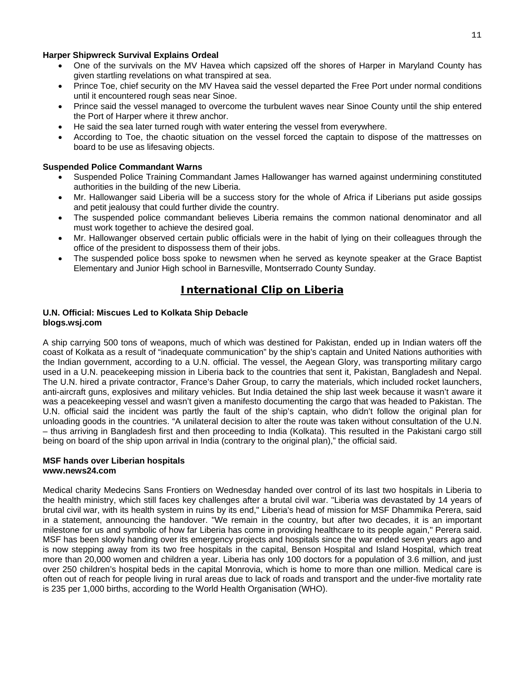#### **Harper Shipwreck Survival Explains Ordeal**

- One of the survivals on the MV Havea which capsized off the shores of Harper in Maryland County has given startling revelations on what transpired at sea.
- Prince Toe, chief security on the MV Havea said the vessel departed the Free Port under normal conditions until it encountered rough seas near Sinoe.
- Prince said the vessel managed to overcome the turbulent waves near Sinoe County until the ship entered the Port of Harper where it threw anchor.
- He said the sea later turned rough with water entering the vessel from everywhere.
- According to Toe, the chaotic situation on the vessel forced the captain to dispose of the mattresses on board to be use as lifesaving objects.

#### **Suspended Police Commandant Warns**

- Suspended Police Training Commandant James Hallowanger has warned against undermining constituted authorities in the building of the new Liberia.
- Mr. Hallowanger said Liberia will be a success story for the whole of Africa if Liberians put aside gossips and petit jealousy that could further divide the country.
- The suspended police commandant believes Liberia remains the common national denominator and all must work together to achieve the desired goal.
- Mr. Hallowanger observed certain public officials were in the habit of lying on their colleagues through the office of the president to dispossess them of their jobs.
- The suspended police boss spoke to newsmen when he served as keynote speaker at the Grace Baptist Elementary and Junior High school in Barnesville, Montserrado County Sunday.

## **International Clip on Liberia**

#### **U.N. Official: Miscues Led to Kolkata Ship Debacle blogs.wsj.com**

A ship carrying 500 tons of weapons, much of which was destined for Pakistan, ended up in Indian waters off the coast of Kolkata as a result of "inadequate communication" by the ship's captain and United Nations authorities with the Indian government, according to a U.N. official. The vessel, the Aegean Glory, was transporting military cargo used in a U.N. peacekeeping mission in Liberia back to the countries that sent it, Pakistan, Bangladesh and Nepal. The U.N. hired a private contractor, France's Daher Group, to carry the materials, which included rocket launchers, anti-aircraft guns, explosives and military vehicles. But India detained the ship last week because it wasn't aware it was a peacekeeping vessel and wasn't given a manifesto documenting the cargo that was headed to Pakistan. The U.N. official said the incident was partly the fault of the ship's captain, who didn't follow the original plan for unloading goods in the countries. "A unilateral decision to alter the route was taken without consultation of the U.N. – thus arriving in Bangladesh first and then proceeding to India (Kolkata). This resulted in the Pakistani cargo still being on board of the ship upon arrival in India (contrary to the original plan)," the official said.

#### **MSF hands over Liberian hospitals www.news24.com**

Medical charity Medecins Sans Frontiers on Wednesday handed over control of its last two hospitals in Liberia to the health ministry, which still faces key challenges after a brutal civil war. "Liberia was devastated by 14 years of brutal civil war, with its health system in ruins by its end," Liberia's head of mission for MSF Dhammika Perera, said in a statement, announcing the handover. "We remain in the country, but after two decades, it is an important milestone for us and symbolic of how far Liberia has come in providing healthcare to its people again," Perera said. MSF has been slowly handing over its emergency projects and hospitals since the war ended seven years ago and is now stepping away from its two free hospitals in the capital, Benson Hospital and Island Hospital, which treat more than 20,000 women and children a year. Liberia has only 100 doctors for a population of 3.6 million, and just over 250 children's hospital beds in the capital Monrovia, which is home to more than one million. Medical care is often out of reach for people living in rural areas due to lack of roads and transport and the under-five mortality rate is 235 per 1,000 births, according to the World Health Organisation (WHO).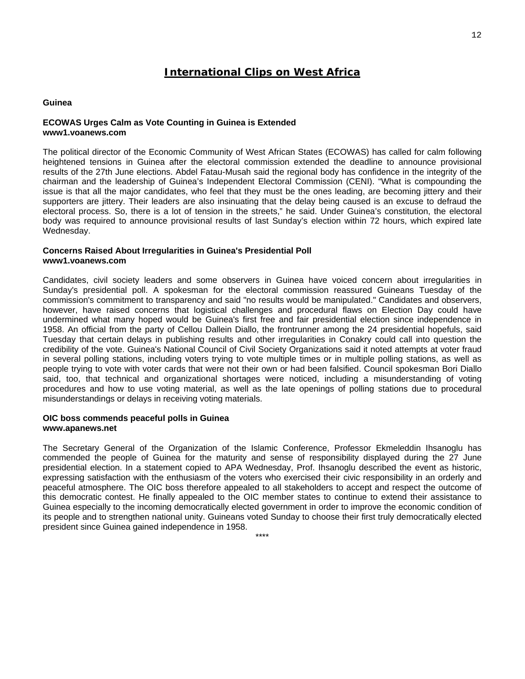## **International Clips on West Africa**

#### **Guinea**

#### **ECOWAS Urges Calm as Vote Counting in Guinea is Extended www1.voanews.com**

The political director of the Economic Community of West African States (ECOWAS) has called for calm following heightened tensions in Guinea after the electoral commission extended the deadline to announce provisional results of the 27th June elections. Abdel Fatau-Musah said the regional body has confidence in the integrity of the chairman and the leadership of Guinea's Independent Electoral Commission (CENI). "What is compounding the issue is that all the major candidates, who feel that they must be the ones leading, are becoming jittery and their supporters are jittery. Their leaders are also insinuating that the delay being caused is an excuse to defraud the electoral process. So, there is a lot of tension in the streets," he said. Under Guinea's constitution, the electoral body was required to announce provisional results of last Sunday's election within 72 hours, which expired late Wednesday.

#### **Concerns Raised About Irregularities in Guinea's Presidential Poll www1.voanews.com**

Candidates, civil society leaders and some observers in Guinea have voiced concern about irregularities in Sunday's presidential poll. A spokesman for the electoral commission reassured Guineans Tuesday of the commission's commitment to transparency and said "no results would be manipulated." Candidates and observers, however, have raised concerns that logistical challenges and procedural flaws on Election Day could have undermined what many hoped would be Guinea's first free and fair presidential election since independence in 1958. An official from the party of Cellou Dallein Diallo, the frontrunner among the 24 presidential hopefuls, said Tuesday that certain delays in publishing results and other irregularities in Conakry could call into question the credibility of the vote. Guinea's National Council of Civil Society Organizations said it noted attempts at voter fraud in several polling stations, including voters trying to vote multiple times or in multiple polling stations, as well as people trying to vote with voter cards that were not their own or had been falsified. Council spokesman Bori Diallo said, too, that technical and organizational shortages were noticed, including a misunderstanding of voting procedures and how to use voting material, as well as the late openings of polling stations due to procedural misunderstandings or delays in receiving voting materials.

#### **OIC boss commends peaceful polls in Guinea www.apanews.net**

The Secretary General of the Organization of the Islamic Conference, Professor Ekmeleddin Ihsanoglu has commended the people of Guinea for the maturity and sense of responsibility displayed during the 27 June presidential election. In a statement copied to APA Wednesday, Prof. Ihsanoglu described the event as historic, expressing satisfaction with the enthusiasm of the voters who exercised their civic responsibility in an orderly and peaceful atmosphere. The OIC boss therefore appealed to all stakeholders to accept and respect the outcome of this democratic contest. He finally appealed to the OIC member states to continue to extend their assistance to Guinea especially to the incoming democratically elected government in order to improve the economic condition of its people and to strengthen national unity. Guineans voted Sunday to choose their first truly democratically elected president since Guinea gained independence in 1958.

\*\*\*\*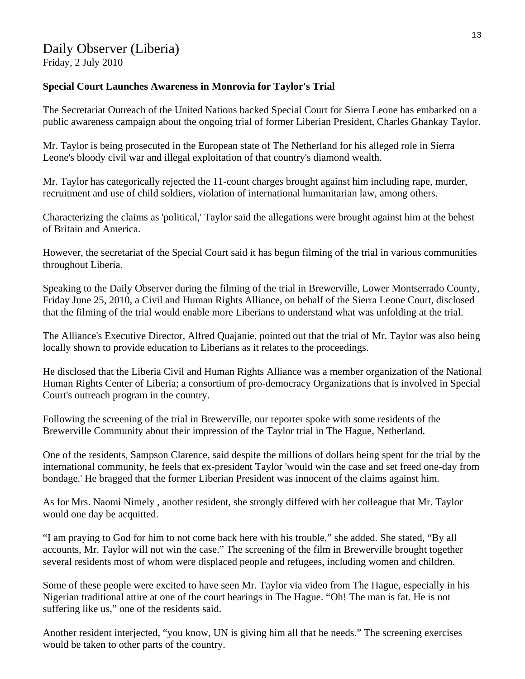Friday, 2 July 2010

## **Special Court Launches Awareness in Monrovia for Taylor's Trial**

The Secretariat Outreach of the United Nations backed Special Court for Sierra Leone has embarked on a public awareness campaign about the ongoing trial of former Liberian President, Charles Ghankay Taylor.

Mr. Taylor is being prosecuted in the European state of The Netherland for his alleged role in Sierra Leone's bloody civil war and illegal exploitation of that country's diamond wealth.

Mr. Taylor has categorically rejected the 11-count charges brought against him including rape, murder, recruitment and use of child soldiers, violation of international humanitarian law, among others.

Characterizing the claims as 'political,' Taylor said the allegations were brought against him at the behest of Britain and America.

However, the secretariat of the Special Court said it has begun filming of the trial in various communities throughout Liberia.

Speaking to the Daily Observer during the filming of the trial in Brewerville, Lower Montserrado County, Friday June 25, 2010, a Civil and Human Rights Alliance, on behalf of the Sierra Leone Court, disclosed that the filming of the trial would enable more Liberians to understand what was unfolding at the trial.

The Alliance's Executive Director, Alfred Quajanie, pointed out that the trial of Mr. Taylor was also being locally shown to provide education to Liberians as it relates to the proceedings.

He disclosed that the Liberia Civil and Human Rights Alliance was a member organization of the National Human Rights Center of Liberia; a consortium of pro-democracy Organizations that is involved in Special Court's outreach program in the country.

Following the screening of the trial in Brewerville, our reporter spoke with some residents of the Brewerville Community about their impression of the Taylor trial in The Hague, Netherland.

One of the residents, Sampson Clarence, said despite the millions of dollars being spent for the trial by the international community, he feels that ex-president Taylor 'would win the case and set freed one-day from bondage.' He bragged that the former Liberian President was innocent of the claims against him.

As for Mrs. Naomi Nimely , another resident, she strongly differed with her colleague that Mr. Taylor would one day be acquitted.

"I am praying to God for him to not come back here with his trouble," she added. She stated, "By all accounts, Mr. Taylor will not win the case." The screening of the film in Brewerville brought together several residents most of whom were displaced people and refugees, including women and children.

Some of these people were excited to have seen Mr. Taylor via video from The Hague, especially in his Nigerian traditional attire at one of the court hearings in The Hague. "Oh! The man is fat. He is not suffering like us," one of the residents said.

Another resident interjected, "you know, UN is giving him all that he needs." The screening exercises would be taken to other parts of the country.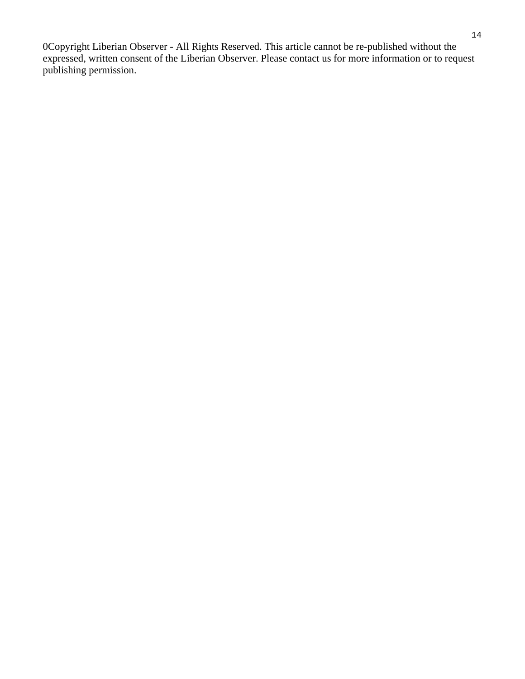0Copyright Liberian Observer - All Rights Reserved. This article cannot be re-published without the expressed, written consent of the Liberian Observer. Please [contact us](http://www.liberianobserver.com/contact) for more information or to request publishing permission.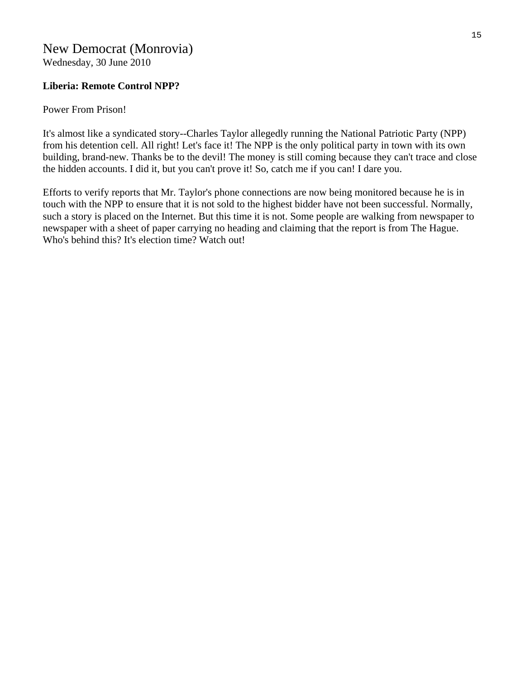Wednesday, 30 June 2010

## **Liberia: Remote Control NPP?**

Power From Prison!

It's almost like a syndicated story--Charles Taylor allegedly running the National Patriotic Party (NPP) from his detention cell. All right! Let's face it! The NPP is the only political party in town with its own building, brand-new. Thanks be to the devil! The money is still coming because they can't trace and close the hidden accounts. I did it, but you can't prove it! So, catch me if you can! I dare you.

Efforts to verify reports that Mr. Taylor's phone connections are now being monitored because he is in touch with the NPP to ensure that it is not sold to the highest bidder have not been successful. Normally, such a story is placed on the Internet. But this time it is not. Some people are walking from newspaper to newspaper with a sheet of paper carrying no heading and claiming that the report is from The Hague. Who's behind this? It's election time? Watch out!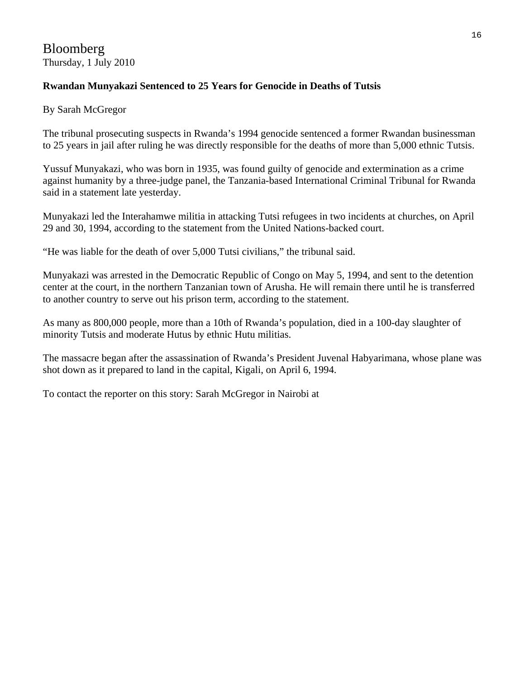Bloomberg Thursday, 1 July 2010

## **Rwandan Munyakazi Sentenced to 25 Years for Genocide in Deaths of Tutsis**

By Sarah McGregor

The tribunal prosecuting suspects in Rwanda's 1994 genocide sentenced a former Rwandan businessman to 25 years in jail after ruling he was directly responsible for the deaths of more than 5,000 ethnic Tutsis.

Yussuf Munyakazi, who was born in 1935, was found guilty of genocide and extermination as a crime against humanity by a three-judge panel, the Tanzania-based International Criminal Tribunal for Rwanda said in a statement late yesterday.

Munyakazi led the Interahamwe militia in attacking Tutsi refugees in two incidents at churches, on April 29 and 30, 1994, according to the statement from the United Nations-backed court.

"He was liable for the death of over 5,000 Tutsi civilians," the tribunal said.

Munyakazi was arrested in the Democratic Republic of Congo on May 5, 1994, and sent to the detention center at the court, in the northern Tanzanian town of Arusha. He will remain there until he is transferred to another country to serve out his prison term, according to the statement.

As many as 800,000 people, more than a 10th of Rwanda's population, died in a 100-day slaughter of minority Tutsis and moderate Hutus by ethnic Hutu militias.

The massacre began after the assassination of Rwanda's President Juvenal Habyarimana, whose plane was shot down as it prepared to land in the capital, Kigali, on April 6, 1994.

To contact the reporter on this story: Sarah McGregor in Nairobi at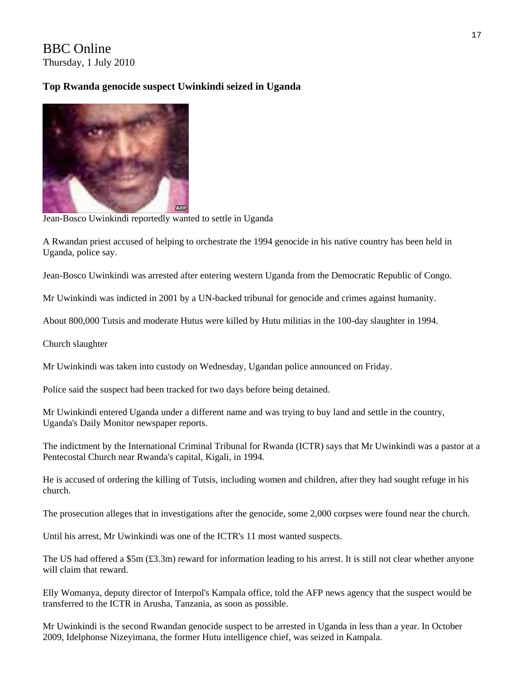## BBC Online Thursday, 1 July 2010

## **Top Rwanda genocide suspect Uwinkindi seized in Uganda**



Jean-Bosco Uwinkindi reportedly wanted to settle in Uganda

A Rwandan priest accused of helping to orchestrate the 1994 genocide in his native country has been held in Uganda, police say.

Jean-Bosco Uwinkindi was arrested after entering western Uganda from the Democratic Republic of Congo.

Mr Uwinkindi was indicted in 2001 by a UN-backed tribunal for genocide and crimes against humanity.

About 800,000 Tutsis and moderate Hutus were killed by Hutu militias in the 100-day slaughter in 1994.

Church slaughter

Mr Uwinkindi was taken into custody on Wednesday, Ugandan police announced on Friday.

Police said the suspect had been tracked for two days before being detained.

Mr Uwinkindi entered Uganda under a different name and was trying to buy land and settle in the country, Uganda's Daily Monitor newspaper reports.

The indictment by the International Criminal Tribunal for Rwanda (ICTR) says that Mr Uwinkindi was a pastor at a Pentecostal Church near Rwanda's capital, Kigali, in 1994.

He is accused of ordering the killing of Tutsis, including women and children, after they had sought refuge in his church.

The prosecution alleges that in investigations after the genocide, some 2,000 corpses were found near the church.

Until his arrest, Mr Uwinkindi was one of the ICTR's 11 most wanted suspects.

The US had offered a \$5m (£3.3m) reward for information leading to his arrest. It is still not clear whether anyone will claim that reward.

Elly Womanya, deputy director of Interpol's Kampala office, told the AFP news agency that the suspect would be transferred to the ICTR in Arusha, Tanzania, as soon as possible.

Mr Uwinkindi is the second Rwandan genocide suspect to be arrested in Uganda in less than a year. In October 2009, Idelphonse Nizeyimana, the former Hutu intelligence chief, was seized in Kampala.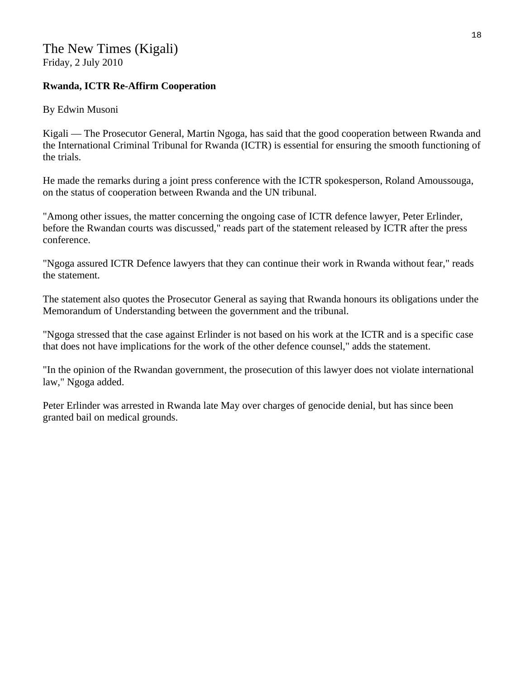## The New Times (Kigali) Friday, 2 July 2010

## **Rwanda, ICTR Re-Affirm Cooperation**

By Edwin Musoni

Kigali — The Prosecutor General, Martin Ngoga, has said that the good cooperation between Rwanda and the International Criminal Tribunal for Rwanda (ICTR) is essential for ensuring the smooth functioning of the trials.

He made the remarks during a joint press conference with the ICTR spokesperson, Roland Amoussouga, on the status of cooperation between Rwanda and the UN tribunal.

"Among other issues, the matter concerning the ongoing case of ICTR defence lawyer, Peter Erlinder, before the Rwandan courts was discussed," reads part of the statement released by ICTR after the press conference.

"Ngoga assured ICTR Defence lawyers that they can continue their work in Rwanda without fear," reads the statement.

The statement also quotes the Prosecutor General as saying that Rwanda honours its obligations under the Memorandum of Understanding between the government and the tribunal.

"Ngoga stressed that the case against Erlinder is not based on his work at the ICTR and is a specific case that does not have implications for the work of the other defence counsel," adds the statement.

"In the opinion of the Rwandan government, the prosecution of this lawyer does not violate international law," Ngoga added.

Peter Erlinder was arrested in Rwanda late May over charges of genocide denial, but has since been granted bail on medical grounds.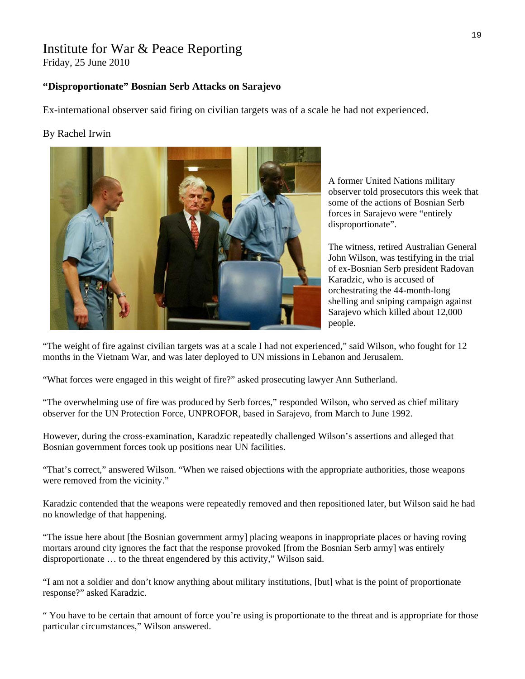## Institute for War & Peace Reporting

Friday, 25 June 2010

### **"Disproportionate" Bosnian Serb Attacks on Sarajevo**

Ex-international observer said firing on civilian targets was of a scale he had not experienced.

#### By [Rachel Irwin](http://www.iwpr.net/people/rachelirwin)



A former United Nations military observer told prosecutors this week that some of the actions of Bosnian Serb forces in Sarajevo were "entirely disproportionate".

The witness, retired Australian General John Wilson, was testifying in the trial of ex-Bosnian Serb president Radovan Karadzic, who is accused of orchestrating the 44-month-long shelling and sniping campaign against Sarajevo which killed about 12,000 people.

"The weight of fire against civilian targets was at a scale I had not experienced," said Wilson, who fought for 12 months in the Vietnam War, and was later deployed to UN missions in Lebanon and Jerusalem.

"What forces were engaged in this weight of fire?" asked prosecuting lawyer Ann Sutherland.

"The overwhelming use of fire was produced by Serb forces," responded Wilson, who served as chief military observer for the UN Protection Force, UNPROFOR, based in Sarajevo, from March to June 1992.

However, during the cross-examination, Karadzic repeatedly challenged Wilson's assertions and alleged that Bosnian government forces took up positions near UN facilities.

"That's correct," answered Wilson. "When we raised objections with the appropriate authorities, those weapons were removed from the vicinity."

Karadzic contended that the weapons were repeatedly removed and then repositioned later, but Wilson said he had no knowledge of that happening.

"The issue here about [the Bosnian government army] placing weapons in inappropriate places or having roving mortars around city ignores the fact that the response provoked [from the Bosnian Serb army] was entirely disproportionate … to the threat engendered by this activity," Wilson said.

"I am not a soldier and don't know anything about military institutions, [but] what is the point of proportionate response?" asked Karadzic.

" You have to be certain that amount of force you're using is proportionate to the threat and is appropriate for those particular circumstances," Wilson answered.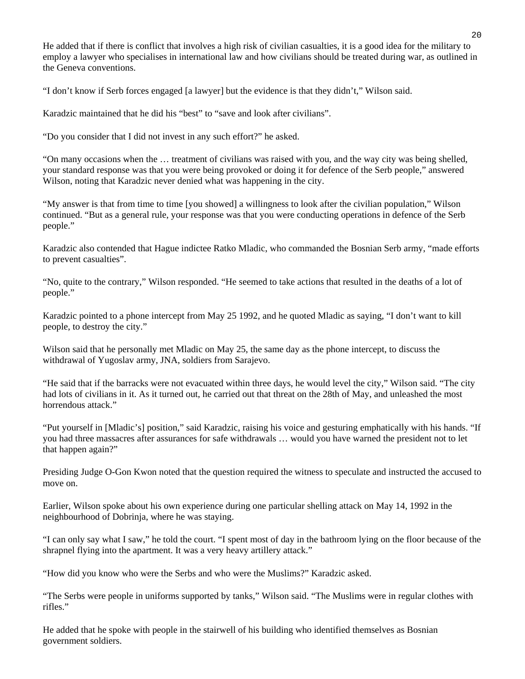He added that if there is conflict that involves a high risk of civilian casualties, it is a good idea for the military to employ a lawyer who specialises in international law and how civilians should be treated during war, as outlined in the Geneva conventions.

"I don't know if Serb forces engaged [a lawyer] but the evidence is that they didn't," Wilson said.

Karadzic maintained that he did his "best" to "save and look after civilians".

"Do you consider that I did not invest in any such effort?" he asked.

"On many occasions when the … treatment of civilians was raised with you, and the way city was being shelled, your standard response was that you were being provoked or doing it for defence of the Serb people," answered Wilson, noting that Karadzic never denied what was happening in the city.

"My answer is that from time to time [you showed] a willingness to look after the civilian population," Wilson continued. "But as a general rule, your response was that you were conducting operations in defence of the Serb people."

Karadzic also contended that Hague indictee Ratko Mladic, who commanded the Bosnian Serb army, "made efforts to prevent casualties".

"No, quite to the contrary," Wilson responded. "He seemed to take actions that resulted in the deaths of a lot of people."

Karadzic pointed to a phone intercept from May 25 1992, and he quoted Mladic as saying, "I don't want to kill people, to destroy the city."

Wilson said that he personally met Mladic on May 25, the same day as the phone intercept, to discuss the withdrawal of Yugoslav army, JNA, soldiers from Sarajevo.

"He said that if the barracks were not evacuated within three days, he would level the city," Wilson said. "The city had lots of civilians in it. As it turned out, he carried out that threat on the 28th of May, and unleashed the most horrendous attack."

"Put yourself in [Mladic's] position," said Karadzic, raising his voice and gesturing emphatically with his hands. "If you had three massacres after assurances for safe withdrawals … would you have warned the president not to let that happen again?"

Presiding Judge O-Gon Kwon noted that the question required the witness to speculate and instructed the accused to move on.

Earlier, Wilson spoke about his own experience during one particular shelling attack on May 14, 1992 in the neighbourhood of Dobrinja, where he was staying.

"I can only say what I saw," he told the court. "I spent most of day in the bathroom lying on the floor because of the shrapnel flying into the apartment. It was a very heavy artillery attack."

"How did you know who were the Serbs and who were the Muslims?" Karadzic asked.

"The Serbs were people in uniforms supported by tanks," Wilson said. "The Muslims were in regular clothes with rifles."

He added that he spoke with people in the stairwell of his building who identified themselves as Bosnian government soldiers.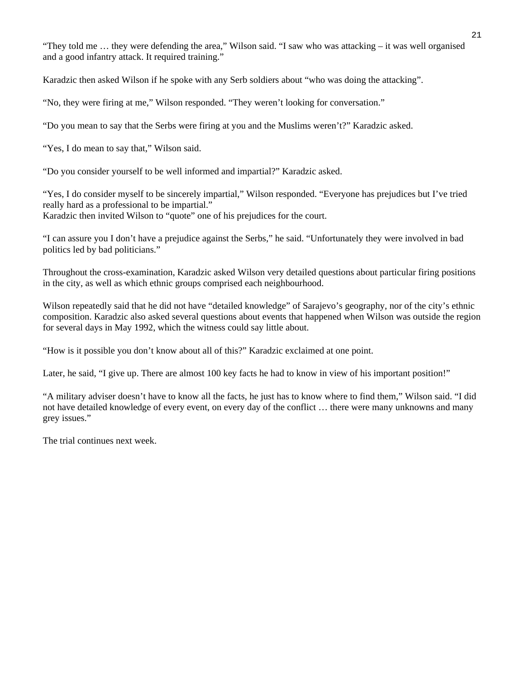"They told me … they were defending the area," Wilson said. "I saw who was attacking – it was well organised and a good infantry attack. It required training."

Karadzic then asked Wilson if he spoke with any Serb soldiers about "who was doing the attacking".

"No, they were firing at me," Wilson responded. "They weren't looking for conversation."

"Do you mean to say that the Serbs were firing at you and the Muslims weren't?" Karadzic asked.

"Yes, I do mean to say that," Wilson said.

"Do you consider yourself to be well informed and impartial?" Karadzic asked.

"Yes, I do consider myself to be sincerely impartial," Wilson responded. "Everyone has prejudices but I've tried really hard as a professional to be impartial." Karadzic then invited Wilson to "quote" one of his prejudices for the court.

"I can assure you I don't have a prejudice against the Serbs," he said. "Unfortunately they were involved in bad politics led by bad politicians."

Throughout the cross-examination, Karadzic asked Wilson very detailed questions about particular firing positions in the city, as well as which ethnic groups comprised each neighbourhood.

Wilson repeatedly said that he did not have "detailed knowledge" of Sarajevo's geography, nor of the city's ethnic composition. Karadzic also asked several questions about events that happened when Wilson was outside the region for several days in May 1992, which the witness could say little about.

"How is it possible you don't know about all of this?" Karadzic exclaimed at one point.

Later, he said, "I give up. There are almost 100 key facts he had to know in view of his important position!"

"A military adviser doesn't have to know all the facts, he just has to know where to find them," Wilson said. "I did not have detailed knowledge of every event, on every day of the conflict … there were many unknowns and many grey issues."

The trial continues next week.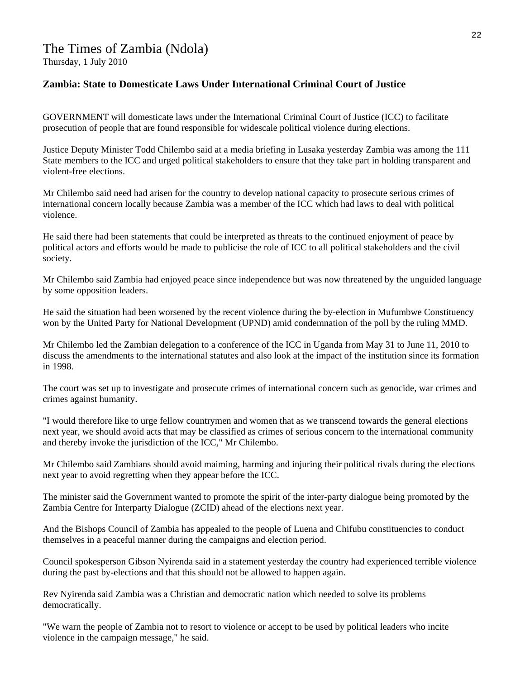## The Times of Zambia (Ndola)

Thursday, 1 July 2010

#### **Zambia: State to Domesticate Laws Under International Criminal Court of Justice**

GOVERNMENT will domesticate laws under the International Criminal Court of Justice (ICC) to facilitate prosecution of people that are found responsible for widescale political violence during elections.

Justice Deputy Minister Todd Chilembo said at a media briefing in Lusaka yesterday Zambia was among the 111 State members to the ICC and urged political stakeholders to ensure that they take part in holding transparent and violent-free elections.

Mr Chilembo said need had arisen for the country to develop national capacity to prosecute serious crimes of international concern locally because Zambia was a member of the ICC which had laws to deal with political violence.

He said there had been statements that could be interpreted as threats to the continued enjoyment of peace by political actors and efforts would be made to publicise the role of ICC to all political stakeholders and the civil society.

Mr Chilembo said Zambia had enjoyed peace since independence but was now threatened by the unguided language by some opposition leaders.

He said the situation had been worsened by the recent violence during the by-election in Mufumbwe Constituency won by the United Party for National Development (UPND) amid condemnation of the poll by the ruling MMD.

Mr Chilembo led the Zambian delegation to a conference of the ICC in Uganda from May 31 to June 11, 2010 to discuss the amendments to the international statutes and also look at the impact of the institution since its formation in 1998.

The court was set up to investigate and prosecute crimes of international concern such as genocide, war crimes and crimes against humanity.

"I would therefore like to urge fellow countrymen and women that as we transcend towards the general elections next year, we should avoid acts that may be classified as crimes of serious concern to the international community and thereby invoke the jurisdiction of the ICC," Mr Chilembo.

Mr Chilembo said Zambians should avoid maiming, harming and injuring their political rivals during the elections next year to avoid regretting when they appear before the ICC.

The minister said the Government wanted to promote the spirit of the inter-party dialogue being promoted by the Zambia Centre for Interparty Dialogue (ZCID) ahead of the elections next year.

And the Bishops Council of Zambia has appealed to the people of Luena and Chifubu constituencies to conduct themselves in a peaceful manner during the campaigns and election period.

Council spokesperson Gibson Nyirenda said in a statement yesterday the country had experienced terrible violence during the past by-elections and that this should not be allowed to happen again.

Rev Nyirenda said Zambia was a Christian and democratic nation which needed to solve its problems democratically.

"We warn the people of Zambia not to resort to violence or accept to be used by political leaders who incite violence in the campaign message," he said.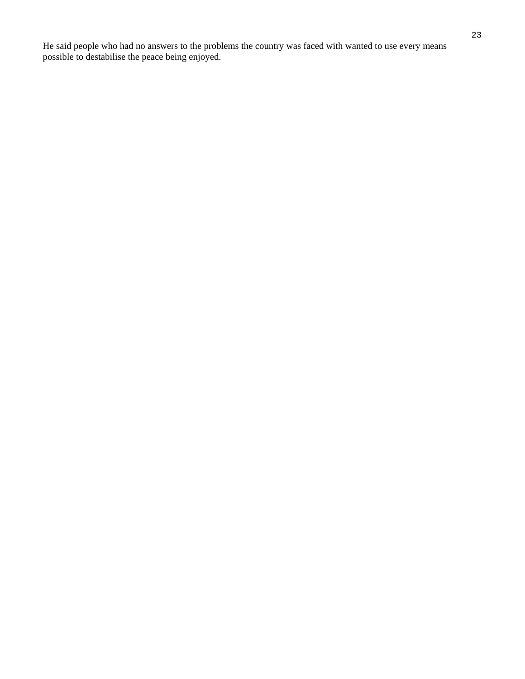He said people who had no answers to the problems the country was faced with wanted to use every means possible to destabilise the peace being enjoyed.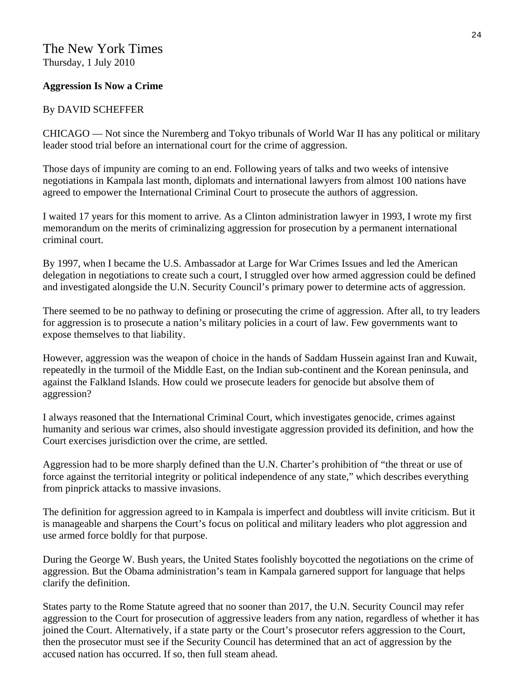## The New York Times Thursday, 1 July 2010

### **Aggression Is Now a Crime**

## By DAVID SCHEFFER

CHICAGO — Not since the Nuremberg and Tokyo tribunals of World War II has any political or military leader stood trial before an international court for the crime of aggression.

Those days of impunity are coming to an end. Following years of talks and two weeks of intensive negotiations in Kampala last month, diplomats and international lawyers from almost 100 nations have agreed to empower the International Criminal Court to prosecute the authors of aggression.

I waited 17 years for this moment to arrive. As a Clinton administration lawyer in 1993, I wrote my first memorandum on the merits of criminalizing aggression for prosecution by a permanent international criminal court.

By 1997, when I became the U.S. Ambassador at Large for War Crimes Issues and led the American delegation in negotiations to create such a court, I struggled over how armed aggression could be defined and investigated alongside the U.N. Security Council's primary power to determine acts of aggression.

There seemed to be no pathway to defining or prosecuting the crime of aggression. After all, to try leaders for aggression is to prosecute a nation's military policies in a court of law. Few governments want to expose themselves to that liability.

However, aggression was the weapon of choice in the hands of Saddam Hussein against Iran and Kuwait, repeatedly in the turmoil of the Middle East, on the Indian sub-continent and the Korean peninsula, and against the Falkland Islands. How could we prosecute leaders for genocide but absolve them of aggression?

I always reasoned that the International Criminal Court, which investigates genocide, crimes against humanity and serious war crimes, also should investigate aggression provided its definition, and how the Court exercises jurisdiction over the crime, are settled.

Aggression had to be more sharply defined than the U.N. Charter's prohibition of "the threat or use of force against the territorial integrity or political independence of any state," which describes everything from pinprick attacks to massive invasions.

The definition for aggression agreed to in Kampala is imperfect and doubtless will invite criticism. But it is manageable and sharpens the Court's focus on political and military leaders who plot aggression and use armed force boldly for that purpose.

During the George W. Bush years, the United States foolishly boycotted the negotiations on the crime of aggression. But the Obama administration's team in Kampala garnered support for language that helps clarify the definition.

States party to the Rome Statute agreed that no sooner than 2017, the U.N. Security Council may refer aggression to the Court for prosecution of aggressive leaders from any nation, regardless of whether it has joined the Court. Alternatively, if a state party or the Court's prosecutor refers aggression to the Court, then the prosecutor must see if the Security Council has determined that an act of aggression by the accused nation has occurred. If so, then full steam ahead.